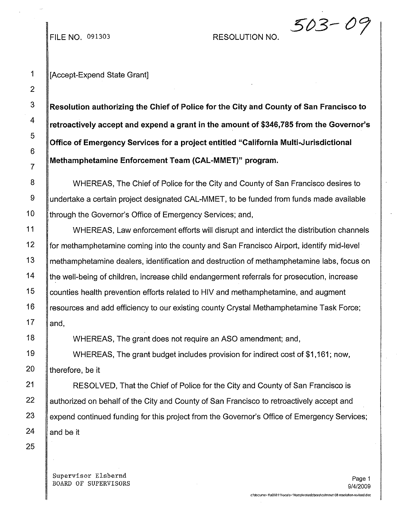## RESOLUTION NO.

 $503 - 0\%$ 

FILE NO. 091303

## 1 || [Accept-Expend State Grant]

**Resolution authorizing the Chief of Police for the City and County of San Francisco to retroactively accept and expend a grant in the amount of \$346,785 from the Governor's Office of Emergency Services for a project entitled "California Multi.Jurisdictional Methamphetamine Enforcement Team (CAL-MMET)" program.**

WHEREAS, The Chief of Police for the City and County of San Francisco desires to undertake a certain project designated CAL-MMET, to be funded from funds made available through the Governor's Office of Emergency Services; and,

WHEREAS, Law enforcement efforts will disrupt and interdict the distribution channels for methamphetamine coming into the county and San Francisco Airport, identify mid-level methamphetamine dealers, identification and destruction of methamphetamine labs, focus on the well-being of children, increase child endangerment referrals for prosecution, increase counties health prevention efforts related to HIV and methamphetamine, and augment resources and add efficiency to our existing county Crystal Methamphetamine Task Force; and,

WHEREAS, The grant does not require an ASO amendment; and,

WHEREAS, The grant budget includes provision for indirect cost of \$1,161; now, therefore, be it

RESOLVED, That the Chief of Police for the City and County of San Francisco is authorized on behalf of the City and County of San Francisco to retroactively accept and expend continued funding for this project from the Governor's Office of Emergency Services; and be it

Supervisor Elsbernd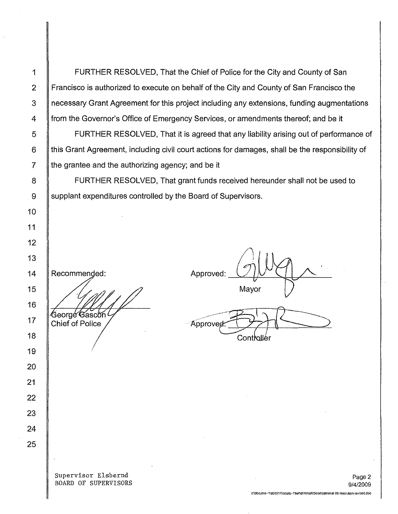1 FURTHER RESOLVED, That the Chief of Police for the City and County of San 2 **Francisco is authorized to execute on behalf of the City and County of San Francisco the** 3 necessary Grant Agreement for this project including any extensions, funding augmentations 4 **from the Governor's Office of Emergency Services, or amendments thereof; and be it** 5 **FURTHER RESOLVED, That it is agreed that any liability arising out of performance of** 

6 Ithis Grant Agreement, including civil court actions for damages, shall be the responsibility of  $7 \parallel$  the grantee and the authorizing agency; and be it

8 **FURTHER RESOLVED, That grant funds received hereunder shall not be used to** 9 Supplant expenditures controlled by the Board of Supervisors.

Approved: Mayor Approvec.

Contioller

Supervisor Elsbernd BOARD OF SUPERVISORS

c:\docume~1\a00311\locals~1\temp\notesfcbcee\calmmet 08 resolution-revised.doc

Recommended:

George Gascon ( **Chief of Police**